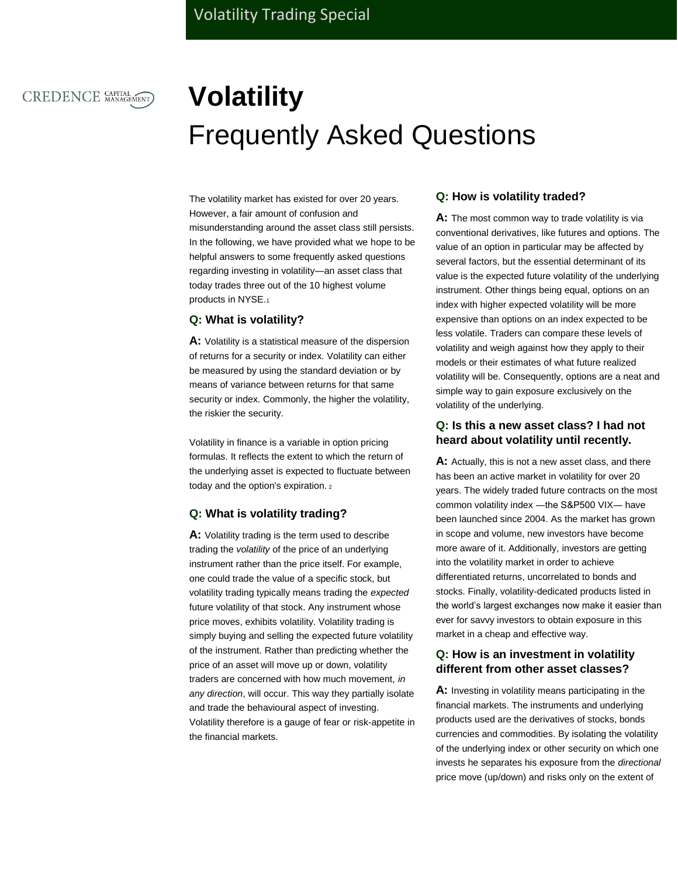# CREDENCE CAPITAL

# **Volatility** Frequently Asked Questions

The volatility market has existed for over 20 years. However, a fair amount of confusion and misunderstanding around the asset class still persists. In the following, we have provided what we hope to be helpful answers to some frequently asked questions regarding investing in volatility―an asset class that today trades three out of the 10 highest volume products in NYSE.<sup>1</sup>

#### **Q: What is volatility?**

**A:** Volatility is a statistical measure of the [dispersion](http://www.investopedia.com/terms/d/dispersion.asp) of returns for a security or [index.](http://www.investopedia.com/terms/m/marketindex.asp) Volatility can either be measured by using the [standard deviation](http://www.investopedia.com/terms/s/standarddeviation.asp) or by means of variance between returns for that same security or index. Commonly, the higher the volatility, the riskier the security.

Volatility in finance is a variable in option pricing formulas. It reflects the extent to which the return of the [underlying asset](http://www.investopedia.com/terms/u/underlying-asset.asp) is expected to fluctuate between today and the option's expiration. <sup>2</sup>

#### **Q: What is volatility trading?**

**A:** Volatility trading is the term used to describe trading the *volatility* of the price of an underlying instrument rather than the price itself. For example, one could trade the value of a specific stock, but volatility trading typically means trading the *expected* future volatility of that stock. Any instrument whose price moves, exhibits volatility. Volatility trading is simply buying and selling the expected future volatility of the instrument. Rather than predicting whether the price of an asset will move up or down, volatility traders are concerned with how much movement, *in any direction*, will occur. This way they partially isolate and trade the behavioural aspect of investing. Volatility therefore is a gauge of fear or risk-appetite in the financial markets.

#### **Q: How is volatility traded?**

**A:** The most common way to trade volatility is via conventional derivatives, like futures and options. The value of an option in particular may be affected by several factors, but the essential determinant of its value is the expected future volatility of the underlying instrument. Other things being equal, options on an index with higher expected volatility will be more expensive than options on an index expected to be less volatile. Traders can compare these levels of volatility and weigh against how they apply to their models or their estimates of what future realized volatility will be. Consequently, options are a neat and simple way to gain exposure exclusively on the volatility of the underlying.

## **Q: Is this a new asset class? I had not heard about volatility until recently.**

**A:** Actually, this is not a new asset class, and there has been an active market in volatility for over 20 years. The widely traded future contracts on the most common volatility index ―the S&P500 VIX― have been launched since 2004. As the market has grown in scope and volume, new investors have become more aware of it. Additionally, investors are getting into the volatility market in order to achieve differentiated returns, uncorrelated to bonds and stocks. Finally, volatility-dedicated products listed in the world's largest exchanges now make it easier than ever for savvy investors to obtain exposure in this market in a cheap and effective way.

## **Q: How is an investment in volatility different from other asset classes?**

**A:** Investing in volatility means participating in the financial markets. The instruments and underlying products used are the derivatives of stocks, bonds currencies and commodities. By isolating the volatility of the underlying index or other security on which one invests he separates his exposure from the *directional*  price move (up/down) and risks only on the extent of